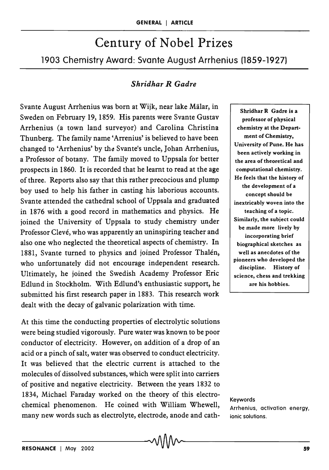# Century of Nobel Prizes

1903 Chemistry Award: Svante August Arrhenius (1859-1927)

## *Shridhar R Gadre*

Svante August Arrhenius was born at Wijk, near lake Malar, in Sweden on February 19, 1859. His parents were Svante Gustav Arrhenius (a town land surveyor) and Carolina Christina Thunberg. The family name 'Arrenius' is believed to have been changed to 'Arrhenius' by the Svante's uncle, Johan Arrhenius, a Professor of botany. The family moved to Uppsala for better prospects in 1860. It is recorded that he learnt to read at the age of three. Reports also say that this rather precocious and plump boy used to help his father in casting his laborious accounts. Svante attended the cathedral school of Uppsala and graduated in 1876 with a good record in mathematics and physics. He joined the University of Uppsala to study chemistry under Professor Clevé, who was apparently an uninspiring teacher and also one who neglected the theoretical aspects of chemistry. In 1881, Svante turned to physics and joined Professor Thalén, who unfortunately did not encourage independent research. Ultimately, he joined the Swedish Academy Professor Eric Edlund in Stockholm. With Edlund's enthusiastic support, he submitted his first research paper in 1883. This research work dealt with the decay of galvanic polarization with time.

At this time the conducting properties of electrolytic solutions were being studied vigorously. Pure water was known to be poor conductor of electricity. However, on addition of a drop of an acid or a pinch of salt, water was observed to conduct electricity. It was believed that the electric current is attached to the molecules of dissolved substances, which were split into carriers of positive and negative electricity. Between the years 1832 to 1834, Michael Faraday worked on the theory of this electrochemical phenomenon. He coined with William Whewell, many new words such as electrolyte, electrode, anode and cath-

Shridhar R Gadre is a professor of physical chemistry at the Department of Chemistry, University of Pune. He has been actively working in the area of theoretical and computational chemistry. He feels that the history of the development of a concept should be inextricably woven into the teaching of a topic. Similarly, the subject could be made more lively by incorporating brief biographical sketches as well as anecdotes of the pioneers who developed the discipline. History of science, chess and trekking are his hobbies.

Keywords Arrhenius, activation energy, ionic solutions.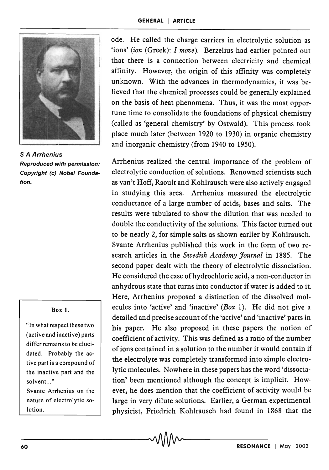

S A Arrhenius Reproduced with permission: Copyright (c) Nobel Foundation.

#### Box l.

"In what respect these two (active and inactive) parts differ remains to be elucidated. Probably the active part is a compound of the inactive part and the solvent..."

Svante Arrhenius on the nature of electrolytic solution.

ode. He called the charge carriers in electrolytic solution as 'ions' *(ion* (Greek): I *move).* Berzelius had earlier pointed out that there is a connection between electricity and chemical affinity. However, the origin of this affinity was completely unknown. With the advances in thermodynamics, it was believed that the chemical processes could be generally explained on the basis of heat phenomena. Thus, it was the most opportune time to consolidate the foundations of physical chemistry (called as 'general chemistry' by Ostwald). This process took place much later (between 1920 to 1930) in organic chemistry and inorganic chemistry (from 1940 to 1950).

Arrhenius realized the central importance of the problem of electrolytic conduction of solutions. Renowned scientists such as van't Hoff, Raoult and Kohlrausch were also actively engaged in studying this area. Arrhenius measured the electrolytic conductance of a large number of acids, bases and salts. The results were tabulated to show the dilution that was needed to double the conductivity of the solutions. This factor turned out to be nearly 2, for simple salts as shown earlier by Kohlrausch. Svante Arrhenius published this work in the form of two research articles in the *Swedish Academy Journal* in 1885. The second paper dealt with the theory of electrolytic dissociation. He considered the case of hydrochloric acid, a non-conductor in anhydrous state that turns into conductor if water is added to it. Here, Arrhenius proposed a distinction of the dissolved molecules into 'active' and 'inactive' *(Box* 1). He did not give a detailed and precise account of the 'active' and 'inactive' parts in his paper. He also proposed in these papers the notion of coefficient of activity. This was defined as a ratio of the number of ions contained in a solution to the number it would contain if the electrolyte was completely transformed into simple electrolytic molecules. Nowhere in these papers has the word 'dissociation' been mentioned although the concept is implicit. However, he does mention that the coefficient of activity would be large in very dilute solutions. Earlier, a German experimental nd a found in 1868 that the physicist, Friedrich Kohlrausch had found in 1868 that the  $\sim$  **RESONANCE** | May 2002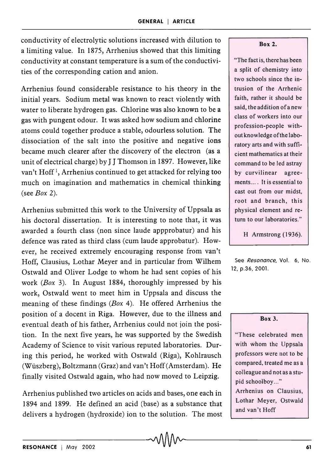conductivity of electrolytic solutions increased with dilution to a limiting value. In 1875, Arrhenius showed that this limiting conductivity at constant temperature is a sum of the conductivities of the corresponding cation and anion.

Arrhenius found considerable resistance to his theory in the initial years. Sodium metal was known to react violently with water to liberate hydrogen gas. Chlorine was also known to be a gas with pungent odour. It was asked how sodium and chlorine atoms could together produce a stable, odourless solution. The dissociation of the salt into the positive and negative ions became much clearer after the discovery of the electron (as a unit of electrical charge) by J J Thomson in 1897. However, like van't Hoff<sup>1</sup>, Arrhenius continued to get attacked for relying too much on imagination and mathematics in chemical thinking (see *Box 2).* 

Arrhenius submitted this work to the University of Uppsala as his doctoral dissertation. It is interesting to note that, it was awarded a fourth class (non since laude appprobatur) and his defence was rated as third class (cum laude approbatur). However, he received extremely encouraging response from van't Hoff, Clausius, Lothar Meyer and in particular from Wilhem Ostwald and Oliver Lodge to whom he had sent copies of his work *(Box* 3). In August 1884, thoroughly impressed by his work, Ostwald went to meet him in Uppsala and discuss the meaning of these findings *(Box* 4). He offered Arrhenius the position of a docent in Riga. However, due to the illness and eventual death of his father, Arrhenius could not join the position. In the next five years, he was supported by the Swedish Academy of Science to visit various reputed laboratories. During this period, he worked with Ostwald (Riga), Kohlrausch (Wuszberg), Boltzmann (Graz) and van't Hoff (Amsterdam). He finally visited Ostwald again, who had now moved to Leipzig.

Arrhenius published two articles on acids and bases, one each in 1894 and 1899. He defined an acid (base) as a substance that delivers a hydrogen (hydroxide) ion to the solution. The most

#### Box 2.

"The fact is, there has been a split of chemistry into two schools since the intrusion of the Arrhenic faith, rather it should be said, the addition of a new class of workers into our profession-people without knowledge of the laboratory arts and with sufficient mathematics at their command to be led astray by curvilinear agreements.... It is essential to cast out from our midst, root and branch, this physical element and return to our laboratories."

H Armstrong (1936).

See Resonance, Vol. 6, No. 12, p.36, 2001.

#### Box 3.

"These celebrated men with whom the Uppsala professors were not to be compared, treated me as a colleague and not as a stupid schoolboy ... " Arrhenius on Clausius, Lothar Meyer, Ostwald and van't Hoff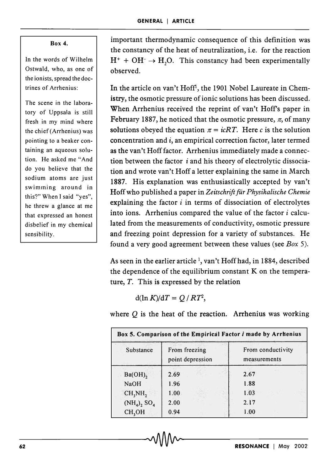### Box 4.

In the words of Wilhelm Ostwald, who, as one of the ionists, spread the doctrines of Arrhenius:

The scene in the laboratory of Uppsala is still fresh in my mind where the chief(Arrhenius) was pointing to a beaker containing an aqueous solution. He asked me "And do you believe that the sodium atoms are just swimming around in this?" When I said "yes", he threw a glance at me that expressed an honest disbelief in my chemical sensibility.

important thermodynamic consequence of this definition was the constancy of the heat of neutralization, i.e. for the reaction  $H^+ + OH^- \rightarrow H_2O$ . This constancy had been experimentally observed.

In the article on van't Hoff<sup>1</sup>, the 1901 Nobel Laureate in Chemistry, the osmotic pressure of ionic solutions has been discussed. When Arrhenius received the reprint of van't Hoff's paper in February 1887, he noticed that the osmotic pressure,  $\pi$ , of many solutions obeyed the equation  $\pi = i cRT$ . Here c is the solution concentration and  $i$ , an empirical correction factor, later termed as the van't Hoff factor. Arrhenius immediately made a connection between the factor  $i$  and his theory of electrolytic dissociation and wrote van't Hoff a letter explaining the same in March 1887. His explanation was enthusiastically accepted by van't Hoffwho published a paper in *Zeitschriftfur Physikalische Chemie*  explaining the factor  $i$  in terms of dissociation of electrolytes into ions. Arrhenius compared the value of the factor  $i$  calculated from the measurements of conductivity, osmotic pressure and freezing point depression for a variety of substances. He found a very good agreement between these values (see *Box 5).* 

As seen in the earlier article<sup>1</sup>, van't Hoff had, in 1884, described the dependence of the equilibrium constant K on the temperature, T. This is expressed by the relation

 $d(\ln K)/dT = Q/RT^2$ ,

where  $Q$  is the heat of the reaction. Arrhenius was working

| Substance                       | From freezing<br>point depression | From conductivity<br>measurements |
|---------------------------------|-----------------------------------|-----------------------------------|
| $Ba(OH)$ <sub>2</sub>           | 2.69                              | 2.67                              |
| <b>NaOH</b>                     | 1.96                              | 1.88                              |
| CH <sub>2</sub> NH <sub>2</sub> | 1.00                              | 1.03                              |
| $(NH_4)_2 SO_4$                 | 2.00                              | 2.17                              |
| CH <sub>3</sub> OH              | 0.94                              | 1.00                              |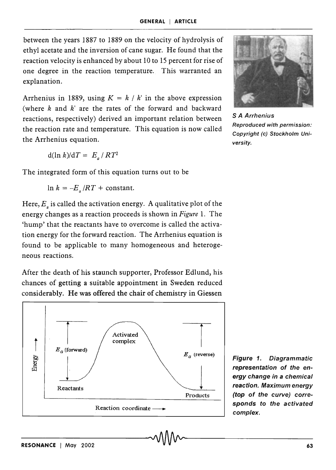between the years 1887 to 1889 on the velocity of hydrolysis of ethyl acetate and the inversion of cane sugar. He found that the reaction velocity is enhanced by about 10 to 15 percent for rise of one degree in the reaction temperature. This warranted an explanation.

Arrhenius in 1889, using  $K = k / k'$  in the above expression (where  $k$  and  $k$  are the rates of the forward and backward reactions, respectively) derived an important relation between the reaction rate and temperature. This equation is now called the Arrhenius equation.

 $d(\ln k)/dT = E_{\alpha}/RT^2$ 

The integrated form of this equation turns out to be

 $\ln k = -E_a /RT + \text{constant}.$ 

Here,  $E<sub>a</sub>$  is called the activation energy. A qualitative plot of the energy changes as a reaction proceeds is shown in *Figure* 1. The 'hump' that the reactants have to overcome is called the activation energy for the forward reaction. The Arrhenius equation is found to be applicable to many homogeneous and heterogeneous reactions.

After the death of his staunch supporter, Professor Edlund, his chances of getting a suitable appointment in Sweden reduced considerably. He was offered the chair of chemistry in Giessen



S A Arrhenius Reproduced with permission: Copyright (c) Stockholm University.

Figure 1. Diagrammatic representation of the energy change in a chemical reaction. Maximum energy (top of the curve) corresponds to the activated complex.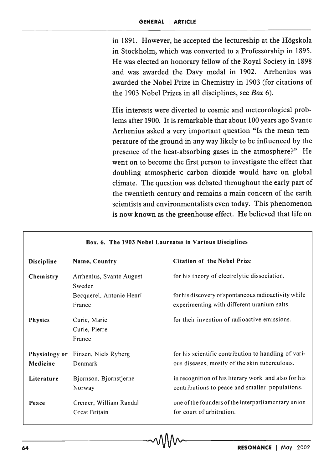in 1891. However, he accepted the lectureship at the Hogskola in Stockholm, which was converted to a Professorship in 1895. He was elected an honorary fellow of the Royal Society in 1898 and was awarded the Davy medal in 1902. Arrhenius was awarded the Nobel Prize in Chemistry in 1903 (for citations of the 1903 Nobel Prizes in all disciplines, see *Box 6).* 

His interests were diverted to cosmic and meteorological problems after 1900. It is remarkable that about 100 years ago Svante Arrhenius asked a very important question "Is the mean temperature of the ground in any way likely to be influenced by the presence of the heat-absorbing gases in the atmosphere?" He went on to become the first person to investigate the effect that doubling atmospheric carbon dioxide would have on global climate. The question was debated throughout the early part of the twentieth century and remains a main concern of the earth scientists and environmentalists even today. This phenomenon is now known as the greenhouse effect. He believed that life on

| Box. 6. The 1903 Nobel Laureates in Various Disciplines |                                         |                                                                                                         |
|---------------------------------------------------------|-----------------------------------------|---------------------------------------------------------------------------------------------------------|
| Discipline                                              | Name, Country                           | <b>Citation of the Nobel Prize</b>                                                                      |
| Chemistry                                               | Arrhenius, Svante August<br>Sweden      | for his theory of electrolytic dissociation.                                                            |
|                                                         | Becquerel, Antonie Henri<br>France      | for his discovery of spontaneous radioactivity while<br>experimenting with different uranium salts.     |
| <b>Physics</b>                                          | Curie, Marie<br>Curie, Pierre<br>France | for their invention of radioactive emissions.                                                           |
| Physiology or<br>Medicine                               | Finsen, Niels Ryberg<br>Denmark         | for his scientific contribution to handling of vari-<br>ous diseases, mostly of the skin tuberculosis.  |
| Literature                                              | Bjornson, Bjornstjerne<br>Norway        | in recognition of his literary work and also for his<br>contributions to peace and smaller populations. |
| Peace                                                   | Cremer, William Randal<br>Great Britain | one of the founders of the interparliamentary union<br>for court of arbitration.                        |